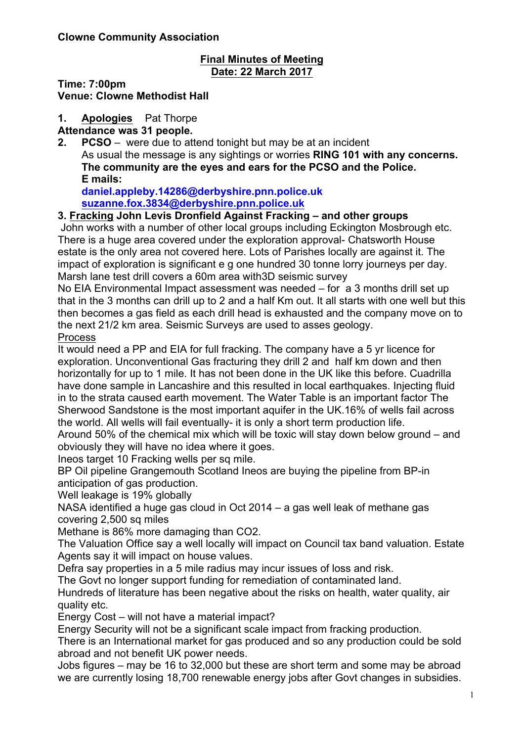#### **Final Minutes of Meeting Date: 22 March 2017**

**Time: 7:00pm**

**Venue: Clowne Methodist Hall**

**1. Apologies** Pat Thorpe

**Attendance was 31 people.**

**2. PCSO** – were due to attend tonight but may be at an incident As usual the message is any sightings or worries **RING 101 with any concerns. The community are the eyes and ears for the PCSO and the Police. E mails:**

**daniel.appleby.14286@derbyshire.pnn.police.uk suzanne.fox.3834@derbyshire.pnn.police.uk**

#### **3. Fracking John Levis Dronfield Against Fracking – and other groups**

John works with a number of other local groups including Eckington Mosbrough etc. There is a huge area covered under the exploration approval- Chatsworth House estate is the only area not covered here. Lots of Parishes locally are against it. The impact of exploration is significant e g one hundred 30 tonne lorry journeys per day. Marsh lane test drill covers a 60m area with3D seismic survey

No EIA Environmental Impact assessment was needed – for a 3 months drill set up that in the 3 months can drill up to 2 and a half Km out. It all starts with one well but this then becomes a gas field as each drill head is exhausted and the company move on to the next 21/2 km area. Seismic Surveys are used to asses geology. Process

It would need a PP and EIA for full fracking. The company have a 5 yr licence for exploration. Unconventional Gas fracturing they drill 2 and half km down and then horizontally for up to 1 mile. It has not been done in the UK like this before. Cuadrilla have done sample in Lancashire and this resulted in local earthquakes. Injecting fluid in to the strata caused earth movement. The Water Table is an important factor The Sherwood Sandstone is the most important aquifer in the UK.16% of wells fail across the world. All wells will fail eventually- it is only a short term production life.

Around 50% of the chemical mix which will be toxic will stay down below ground – and obviously they will have no idea where it goes.

Ineos target 10 Fracking wells per sq mile.

BP Oil pipeline Grangemouth Scotland Ineos are buying the pipeline from BP-in anticipation of gas production.

Well leakage is 19% globally

NASA identified a huge gas cloud in Oct 2014 – a gas well leak of methane gas covering 2,500 sq miles

Methane is 86% more damaging than CO2.

The Valuation Office say a well locally will impact on Council tax band valuation. Estate Agents say it will impact on house values.

Defra say properties in a 5 mile radius may incur issues of loss and risk.

The Govt no longer support funding for remediation of contaminated land.

Hundreds of literature has been negative about the risks on health, water quality, air quality etc.

Energy Cost – will not have a material impact?

Energy Security will not be a significant scale impact from fracking production.

There is an International market for gas produced and so any production could be sold abroad and not benefit UK power needs.

Jobs figures – may be 16 to 32,000 but these are short term and some may be abroad we are currently losing 18,700 renewable energy jobs after Govt changes in subsidies.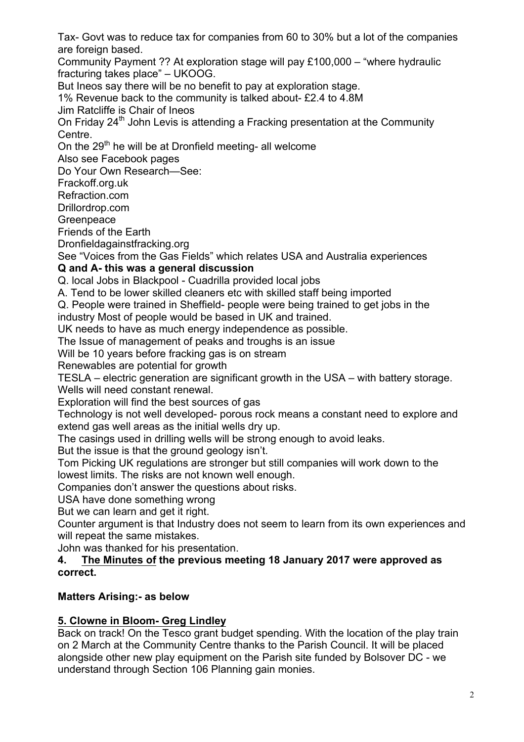Tax- Govt was to reduce tax for companies from 60 to 30% but a lot of the companies are foreign based.

Community Payment ?? At exploration stage will pay £100,000 – "where hydraulic fracturing takes place" – UKOOG.

But Ineos say there will be no benefit to pay at exploration stage.

1% Revenue back to the community is talked about- £2.4 to 4.8M

Jim Ratcliffe is Chair of Ineos

On Friday 24<sup>th</sup> John Levis is attending a Fracking presentation at the Community Centre.

On the  $29<sup>th</sup>$  he will be at Dronfield meeting- all welcome

Also see Facebook pages

Do Your Own Research—See:

Frackoff.org.uk

Refraction.com

Drillordrop.com

**Greenpeace** 

Friends of the Earth

Dronfieldagainstfracking.org

See "Voices from the Gas Fields" which relates USA and Australia experiences

## **Q and A- this was a general discussion**

Q. local Jobs in Blackpool - Cuadrilla provided local jobs

A. Tend to be lower skilled cleaners etc with skilled staff being imported

Q. People were trained in Sheffield- people were being trained to get jobs in the

industry Most of people would be based in UK and trained. UK needs to have as much energy independence as possible.

The Issue of management of peaks and troughs is an issue

Will be 10 years before fracking gas is on stream

Renewables are potential for growth

TESLA – electric generation are significant growth in the USA – with battery storage. Wells will need constant renewal.

Exploration will find the best sources of gas

Technology is not well developed- porous rock means a constant need to explore and extend gas well areas as the initial wells dry up.

The casings used in drilling wells will be strong enough to avoid leaks.

But the issue is that the ground geology isn't.

Tom Picking UK regulations are stronger but still companies will work down to the lowest limits. The risks are not known well enough.

Companies don't answer the questions about risks.

USA have done something wrong

But we can learn and get it right.

Counter argument is that Industry does not seem to learn from its own experiences and will repeat the same mistakes.

John was thanked for his presentation.

**4. The Minutes of the previous meeting 18 January 2017 were approved as correct.**

## **Matters Arising:- as below**

# **5. Clowne in Bloom- Greg Lindley**

Back on track! On the Tesco grant budget spending. With the location of the play train on 2 March at the Community Centre thanks to the Parish Council. It will be placed alongside other new play equipment on the Parish site funded by Bolsover DC - we understand through Section 106 Planning gain monies.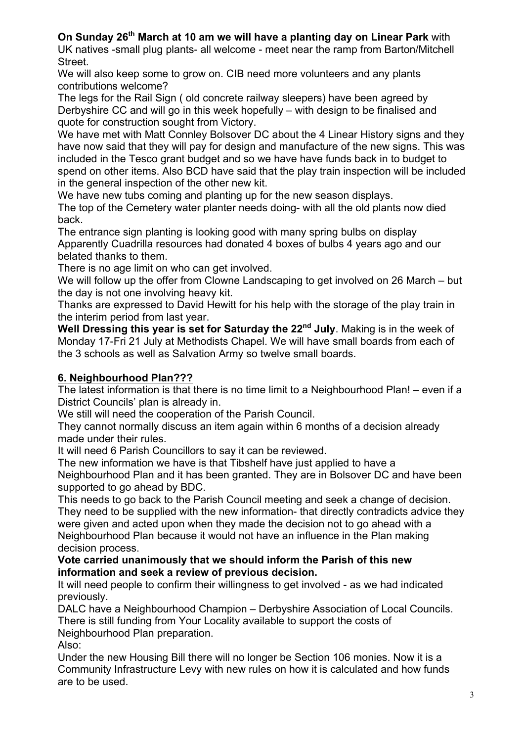## **On Sunday 26th March at 10 am we will have a planting day on Linear Park** with

UK natives -small plug plants- all welcome - meet near the ramp from Barton/Mitchell Street.

We will also keep some to grow on. CIB need more volunteers and any plants contributions welcome?

The legs for the Rail Sign ( old concrete railway sleepers) have been agreed by Derbyshire CC and will go in this week hopefully – with design to be finalised and quote for construction sought from Victory.

We have met with Matt Connley Bolsover DC about the 4 Linear History signs and they have now said that they will pay for design and manufacture of the new signs. This was included in the Tesco grant budget and so we have have funds back in to budget to spend on other items. Also BCD have said that the play train inspection will be included in the general inspection of the other new kit.

We have new tubs coming and planting up for the new season displays.

The top of the Cemetery water planter needs doing- with all the old plants now died back.

The entrance sign planting is looking good with many spring bulbs on display Apparently Cuadrilla resources had donated 4 boxes of bulbs 4 years ago and our belated thanks to them.

There is no age limit on who can get involved.

We will follow up the offer from Clowne Landscaping to get involved on 26 March – but the day is not one involving heavy kit.

Thanks are expressed to David Hewitt for his help with the storage of the play train in the interim period from last year.

**Well Dressing this year is set for Saturday the 22nd July**. Making is in the week of Monday 17-Fri 21 July at Methodists Chapel. We will have small boards from each of the 3 schools as well as Salvation Army so twelve small boards.

# **6. Neighbourhood Plan???**

The latest information is that there is no time limit to a Neighbourhood Plan! – even if a District Councils' plan is already in.

We still will need the cooperation of the Parish Council.

They cannot normally discuss an item again within 6 months of a decision already made under their rules.

It will need 6 Parish Councillors to say it can be reviewed.

The new information we have is that Tibshelf have just applied to have a Neighbourhood Plan and it has been granted. They are in Bolsover DC and have been supported to go ahead by BDC.

This needs to go back to the Parish Council meeting and seek a change of decision. They need to be supplied with the new information- that directly contradicts advice they were given and acted upon when they made the decision not to go ahead with a Neighbourhood Plan because it would not have an influence in the Plan making decision process.

**Vote carried unanimously that we should inform the Parish of this new information and seek a review of previous decision.**

It will need people to confirm their willingness to get involved - as we had indicated previously.

DALC have a Neighbourhood Champion – Derbyshire Association of Local Councils. There is still funding from Your Locality available to support the costs of

Neighbourhood Plan preparation.

Also:

Under the new Housing Bill there will no longer be Section 106 monies. Now it is a Community Infrastructure Levy with new rules on how it is calculated and how funds are to be used.